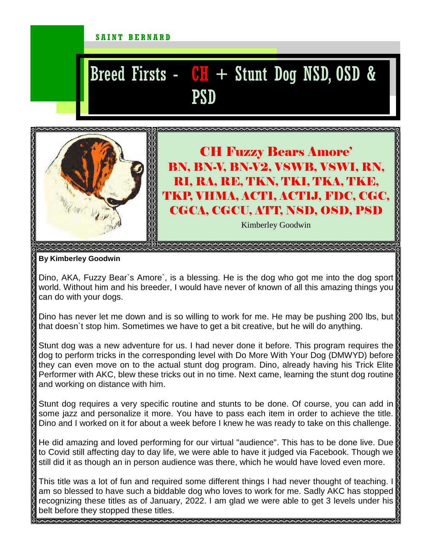## SAINT BERNARD

## Breed Firsts -  $CH$  + Stunt Dog NSD, OSD & PSD



CH Fuzzy Bears Amore' BN, BN-V, BN-V2, VSWB, VSWI, RN, RI, RA, RE, TKN, TKI, TKA, TKE, TKP, VHMA, ACT1, ACT1J, FDC, CGC, CGCA, CGCU, ATT, NSD, OSD, PSD

Kimberley Goodwin

**By Kimberley Goodwin** 

Dino, AKA, Fuzzy Bear's Amore', is a blessing. He is the dog who got me into the dog sport world. Without him and his breeder, I would have never of known of all this amazing things you can do with your dogs.

Dino has never let me down and is so willing to work for me. He may be pushing 200 lbs, but that doesn`t stop him. Sometimes we have to get a bit creative, but he will do anything.

Stunt dog was a new adventure for us. I had never done it before. This program requires the dog to perform tricks in the corresponding level with Do More With Your Dog (DMWYD) before they can even move on to the actual stunt dog program. Dino, already having his Trick Elite Performer with AKC, blew these tricks out in no time. Next came, learning the stunt dog routine and working on distance with him.

Stunt dog requires a very specific routine and stunts to be done. Of course, you can add in some jazz and personalize it more. You have to pass each item in order to achieve the title. Dino and I worked on it for about a week before I knew he was ready to take on this challenge.

He did amazing and loved performing for our virtual "audience". This has to be done live. Due to Covid still affecting day to day life, we were able to have it judged via Facebook. Though we still did it as though an in person audience was there, which he would have loved even more.

This title was a lot of fun and required some different things I had never thought of teaching. I am so blessed to have such a biddable dog who loves to work for me. Sadly AKC has stopped recognizing these titles as of January, 2022. I am glad we were able to get 3 levels under his belt before they stopped these titles.